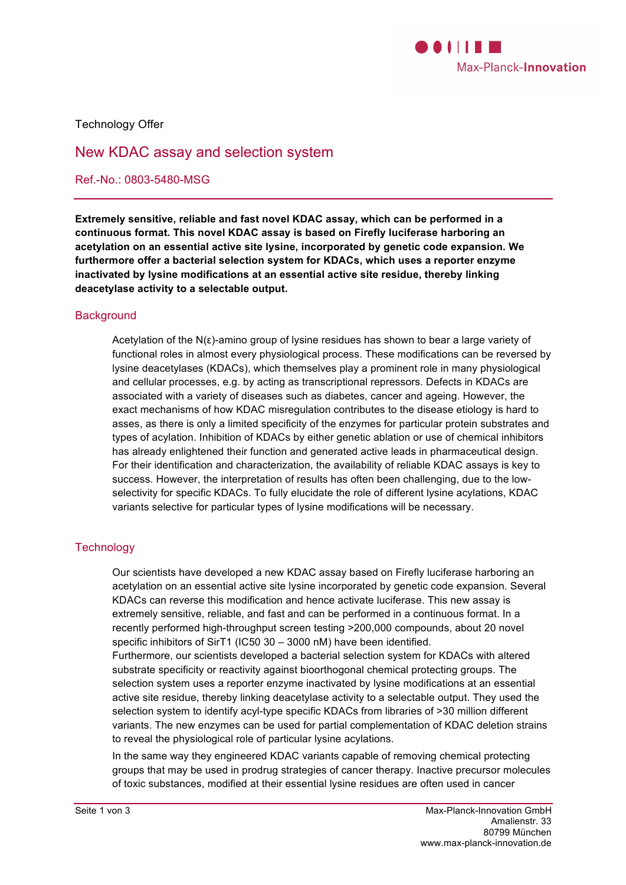

Technology Offer

# New KDAC assay and selection system

Ref.-No.: 0803-5480-MSG

**Extremely sensitive, reliable and fast novel KDAC assay, which can be performed in a continuous format. This novel KDAC assay is based on Firefly luciferase harboring an acetylation on an essential active site lysine, incorporated by genetic code expansion. We furthermore offer a bacterial selection system for KDACs, which uses a reporter enzyme inactivated by lysine modifications at an essential active site residue, thereby linking deacetylase activity to a selectable output.**

#### **Background**

Acetylation of the N(ε)-amino group of lysine residues has shown to bear a large variety of functional roles in almost every physiological process. These modifications can be reversed by lysine deacetylases (KDACs), which themselves play a prominent role in many physiological and cellular processes, e.g. by acting as transcriptional repressors. Defects in KDACs are associated with a variety of diseases such as diabetes, cancer and ageing. However, the exact mechanisms of how KDAC misregulation contributes to the disease etiology is hard to asses, as there is only a limited specificity of the enzymes for particular protein substrates and types of acylation. Inhibition of KDACs by either genetic ablation or use of chemical inhibitors has already enlightened their function and generated active leads in pharmaceutical design. For their identification and characterization, the availability of reliable KDAC assays is key to success. However, the interpretation of results has often been challenging, due to the lowselectivity for specific KDACs. To fully elucidate the role of different lysine acylations, KDAC variants selective for particular types of lysine modifications will be necessary.

### **Technology**

Our scientists have developed a new KDAC assay based on Firefly luciferase harboring an acetylation on an essential active site lysine incorporated by genetic code expansion. Several KDACs can reverse this modification and hence activate luciferase. This new assay is extremely sensitive, reliable, and fast and can be performed in a continuous format. In a recently performed high-throughput screen testing >200,000 compounds, about 20 novel specific inhibitors of SirT1 (IC50 30 – 3000 nM) have been identified. Furthermore, our scientists developed a bacterial selection system for KDACs with altered substrate specificity or reactivity against bioorthogonal chemical protecting groups. The selection system uses a reporter enzyme inactivated by lysine modifications at an essential active site residue, thereby linking deacetylase activity to a selectable output. They used the selection system to identify acyl-type specific KDACs from libraries of >30 million different variants. The new enzymes can be used for partial complementation of KDAC deletion strains to reveal the physiological role of particular lysine acylations.

In the same way they engineered KDAC variants capable of removing chemical protecting groups that may be used in prodrug strategies of cancer therapy. Inactive precursor molecules of toxic substances, modified at their essential lysine residues are often used in cancer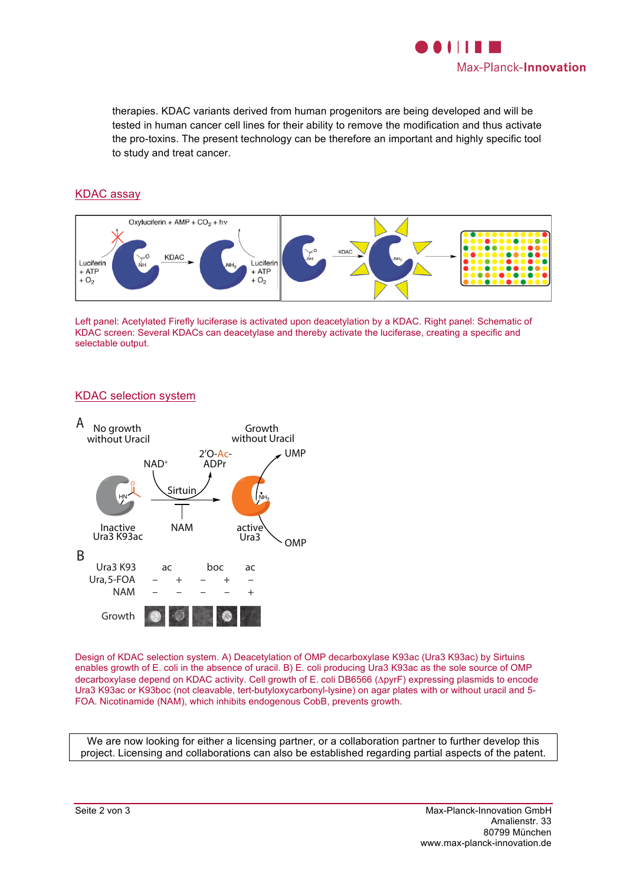

therapies. KDAC variants derived from human progenitors are being developed and will be tested in human cancer cell lines for their ability to remove the modification and thus activate the pro-toxins. The present technology can be therefore an important and highly specific tool to study and treat cancer.

# KDAC assay



Left panel: Acetylated Firefly luciferase is activated upon deacetylation by a KDAC. Right panel: Schematic of KDAC screen: Several KDACs can deacetylase and thereby activate the luciferase, creating a specific and selectable output.

### KDAC selection system



Design of KDAC selection system. A) Deacetylation of OMP decarboxylase K93ac (Ura3 K93ac) by Sirtuins enables growth of E. coli in the absence of uracil. B) E. coli producing Ura3 K93ac as the sole source of OMP decarboxylase depend on KDAC activity. Cell growth of E. coli DB6566 (ΔpyrF) expressing plasmids to encode Ura3 K93ac or K93boc (not cleavable, tert-butyloxycarbonyl-lysine) on agar plates with or without uracil and 5- FOA. Nicotinamide (NAM), which inhibits endogenous CobB, prevents growth.

We are now looking for either a licensing partner, or a collaboration partner to further develop this project. Licensing and collaborations can also be established regarding partial aspects of the patent.